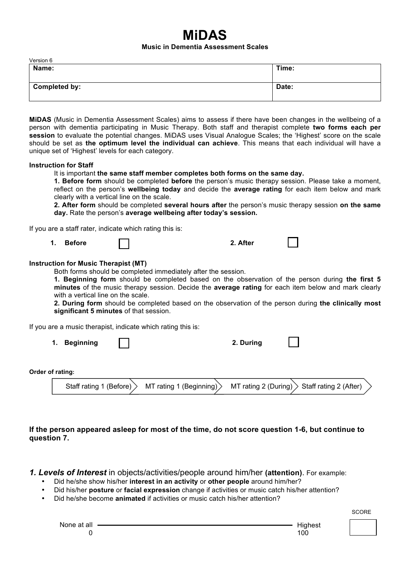# **MiDAS**

#### **Music in Dementia Assessment Scales**

| Version 6            |       |
|----------------------|-------|
| Name:                | Time: |
|                      |       |
|                      |       |
| <b>Completed by:</b> | Date: |
|                      |       |

**MiDAS** (Music in Dementia Assessment Scales) aims to assess if there have been changes in the wellbeing of a person with dementia participating in Music Therapy. Both staff and therapist complete **two forms each per session** to evaluate the potential changes. MiDAS uses Visual Analogue Scales; the 'Highest' score on the scale should be set as **the optimum level the individual can achieve**. This means that each individual will have a unique set of 'Highest' levels for each category.

#### **Instruction for Staff**

#### It is important **the same staff member completes both forms on the same day.**

**1. Before form** should be completed **before** the person's music therapy session. Please take a moment, reflect on the person's **wellbeing today** and decide the **average rating** for each item below and mark clearly with a vertical line on the scale.

**2. After form** should be completed **several hours after** the person's music therapy session **on the same day.** Rate the person's **average wellbeing after today's session.** 

If you are a staff rater, indicate which rating this is:

|  | 1. Before |  | 2. After |  |
|--|-----------|--|----------|--|
|--|-----------|--|----------|--|

### **Instruction for Music Therapist (MT)**

Both forms should be completed immediately after the session.

**1. Beginning form** should be completed based on the observation of the person during **the first 5 minutes** of the music therapy session. Decide the **average rating** for each item below and mark clearly with a vertical line on the scale.

**2. During form** should be completed based on the observation of the person during **the clinically most significant 5 minutes** of that session.

If you are a music therapist, indicate which rating this is:

**1. Beginning 2. During** 

**Order of rating:** 

| Staff rating 1 (Before) $>$ | $\angle$ MT rating 1 (Beginning) $\geq$ |  | MT rating 2 (During) $>$ Staff rating 2 (After) |  |
|-----------------------------|-----------------------------------------|--|-------------------------------------------------|--|
|-----------------------------|-----------------------------------------|--|-------------------------------------------------|--|

## **If the person appeared asleep for most of the time, do not score question 1-6, but continue to question 7.**

*1. Levels of Interest* in objects/activities/people around him/her **(attention)**. For example:

- Did he/she show his/her **interest in an activity** or **other people** around him/her?
- Did his/her **posture** or **facial expression** change if activities or music catch his/her attention?
- Did he/she become **animated** if activities or music catch his/her attention?

SCORE AND INTERNATIONAL CONTINUES OF THE SCORE AND INTERNATIONAL CONTINUES.

| None at all |   |
|-------------|---|
|             | 0 |

**Highest** 100